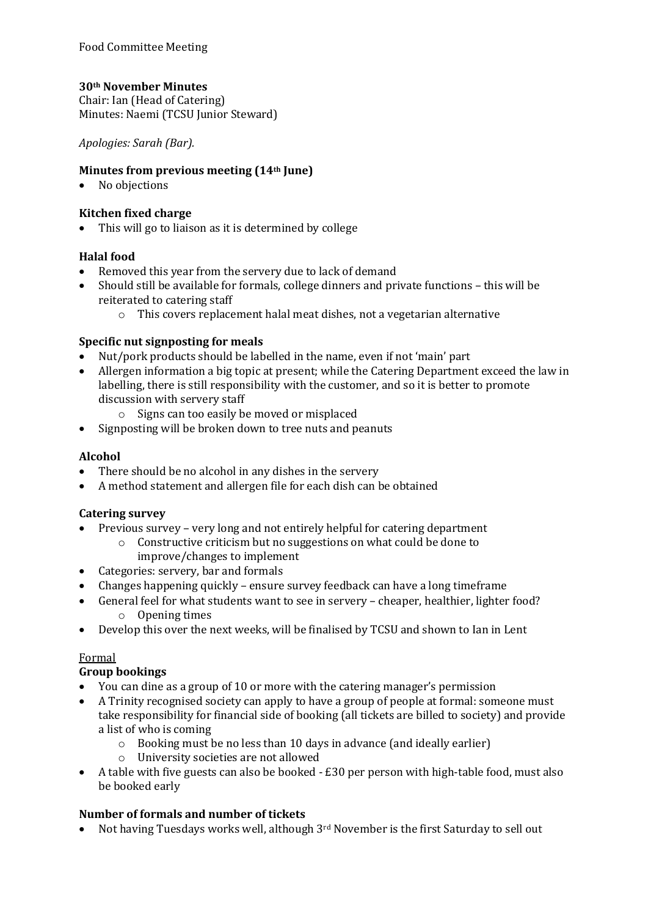# **30th November Minutes**

Chair: Ian (Head of Catering) Minutes: Naemi (TCSU Junior Steward)

*Apologies: Sarah (Bar).* 

#### **Minutes from previous meeting (14th June)**

• No objections

#### **Kitchen fixed charge**

• This will go to liaison as it is determined by college

## **Halal food**

- Removed this year from the servery due to lack of demand
- Should still be available for formals, college dinners and private functions this will be reiterated to catering staff
	- $\circ$  This covers replacement halal meat dishes, not a vegetarian alternative

#### **Specific nut signposting for meals**

- Nut/pork products should be labelled in the name, even if not 'main' part
- Allergen information a big topic at present; while the Catering Department exceed the law in labelling, there is still responsibility with the customer, and so it is better to promote discussion with servery staff
	- $\circ$  Signs can too easily be moved or misplaced
- Signposting will be broken down to tree nuts and peanuts

#### **Alcohol**

- There should be no alcohol in any dishes in the servery
- A method statement and allergen file for each dish can be obtained

## **Catering survey**

- Previous survey very long and not entirely helpful for catering department
	- $\circ$  Constructive criticism but no suggestions on what could be done to improve/changes to implement
- Categories: servery, bar and formals
- Changes happening quickly ensure survey feedback can have a long timeframe
- General feel for what students want to see in servery cheaper, healthier, lighter food?  $\circ$  Opening times
- Develop this over the next weeks, will be finalised by TCSU and shown to Ian in Lent

## Formal

## **Group bookings**

- You can dine as a group of 10 or more with the catering manager's permission
- A Trinity recognised society can apply to have a group of people at formal: someone must take responsibility for financial side of booking (all tickets are billed to society) and provide a list of who is coming
	- $\circ$  Booking must be no less than 10 days in advance (and ideally earlier)
	- o University societies are not allowed
- A table with five guests can also be booked  $£30$  per person with high-table food, must also be booked early

## **Number of formals and number of tickets**

Not having Tuesdays works well, although  $3<sup>rd</sup>$  November is the first Saturday to sell out